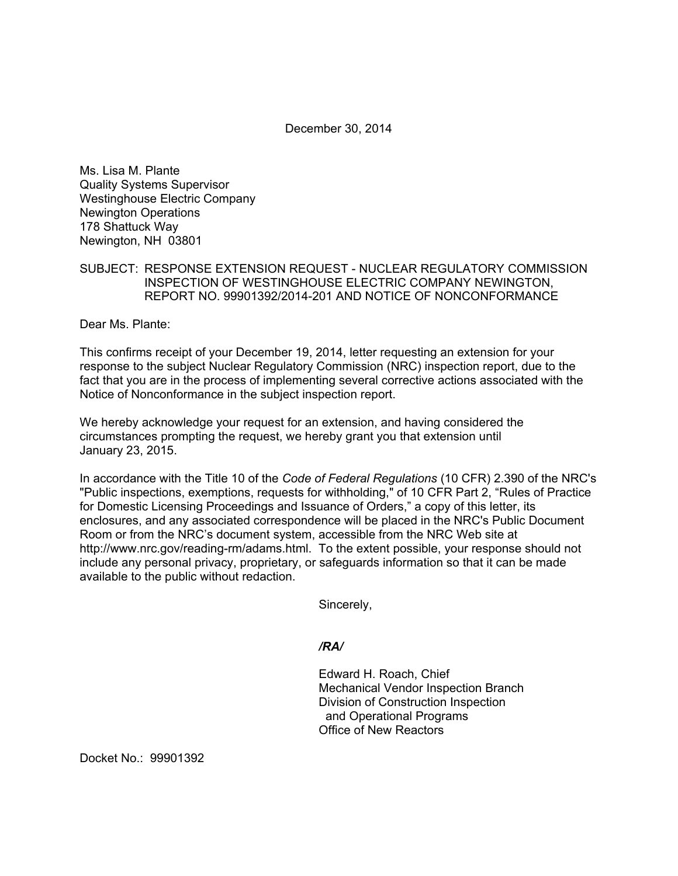December 30, 2014

Ms. Lisa M. Plante Quality Systems Supervisor Westinghouse Electric Company Newington Operations 178 Shattuck Way Newington, NH 03801

## SUBJECT: RESPONSE EXTENSION REQUEST - NUCLEAR REGULATORY COMMISSION INSPECTION OF WESTINGHOUSE ELECTRIC COMPANY NEWINGTON, REPORT NO. 99901392/2014-201 AND NOTICE OF NONCONFORMANCE

Dear Ms. Plante:

This confirms receipt of your December 19, 2014, letter requesting an extension for your response to the subject Nuclear Regulatory Commission (NRC) inspection report, due to the fact that you are in the process of implementing several corrective actions associated with the Notice of Nonconformance in the subject inspection report.

We hereby acknowledge your request for an extension, and having considered the circumstances prompting the request, we hereby grant you that extension until January 23, 2015.

In accordance with the Title 10 of the *Code of Federal Regulations* (10 CFR) 2.390 of the NRC's "Public inspections, exemptions, requests for withholding," of 10 CFR Part 2, "Rules of Practice for Domestic Licensing Proceedings and Issuance of Orders," a copy of this letter, its enclosures, and any associated correspondence will be placed in the NRC's Public Document Room or from the NRC's document system, accessible from the NRC Web site at http://www.nrc.gov/reading-rm/adams.html. To the extent possible, your response should not include any personal privacy, proprietary, or safeguards information so that it can be made available to the public without redaction.

Sincerely,

#### */RA/*

Edward H. Roach, Chief Mechanical Vendor Inspection Branch Division of Construction Inspection and Operational Programs Office of New Reactors

Docket No.: 99901392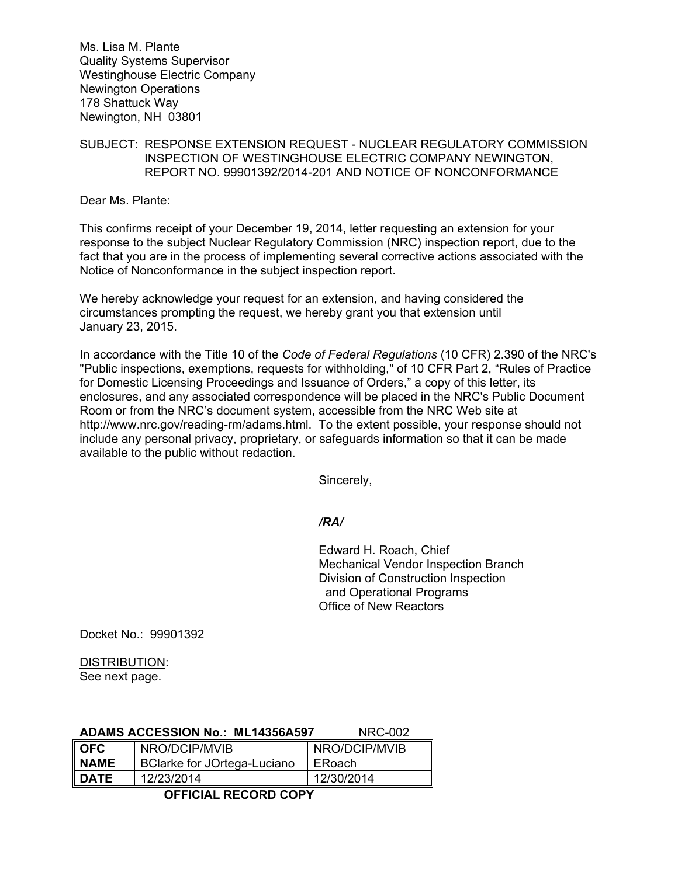Ms. Lisa M. Plante Quality Systems Supervisor Westinghouse Electric Company Newington Operations 178 Shattuck Way Newington, NH 03801

## SUBJECT: RESPONSE EXTENSION REQUEST - NUCLEAR REGULATORY COMMISSION INSPECTION OF WESTINGHOUSE ELECTRIC COMPANY NEWINGTON, REPORT NO. 99901392/2014-201 AND NOTICE OF NONCONFORMANCE

Dear Ms. Plante:

This confirms receipt of your December 19, 2014, letter requesting an extension for your response to the subject Nuclear Regulatory Commission (NRC) inspection report, due to the fact that you are in the process of implementing several corrective actions associated with the Notice of Nonconformance in the subject inspection report.

We hereby acknowledge your request for an extension, and having considered the circumstances prompting the request, we hereby grant you that extension until January 23, 2015.

In accordance with the Title 10 of the *Code of Federal Regulations* (10 CFR) 2.390 of the NRC's "Public inspections, exemptions, requests for withholding," of 10 CFR Part 2, "Rules of Practice for Domestic Licensing Proceedings and Issuance of Orders," a copy of this letter, its enclosures, and any associated correspondence will be placed in the NRC's Public Document Room or from the NRC's document system, accessible from the NRC Web site at http://www.nrc.gov/reading-rm/adams.html. To the extent possible, your response should not include any personal privacy, proprietary, or safeguards information so that it can be made available to the public without redaction.

Sincerely,

#### */RA/*

Edward H. Roach, Chief Mechanical Vendor Inspection Branch Division of Construction Inspection and Operational Programs Office of New Reactors

Docket No.: 99901392

# DISTRIBUTION:

See next page.

|             | <b>ADAMS ACCESSION No.: ML14356A597</b> | NRC-002       |
|-------------|-----------------------------------------|---------------|
| <b>OFC</b>  | NRO/DCIP/MVIB                           | NRO/DCIP/MVIB |
| <b>NAME</b> | BClarke for JOrtega-Luciano             | ERoach        |
| <b>DATE</b> | 12/23/2014                              | 12/30/2014    |

# **OFFICIAL RECORD COPY**